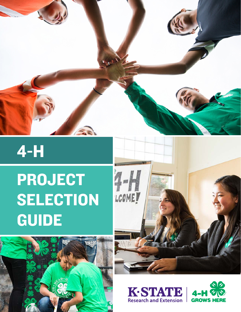

# 4-H

# PROJECT **SELECTION** GUIDE







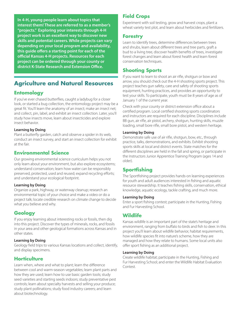**In 4-H, young people learn about topics that interest them! These are referred to as a member's "projects." Exploring your interests through 4-H project work is an excellent way to discover new skills and potential careers. While projects can vary depending on your local program and availability, this guide offers a starting point for each of the official Kansas 4-H projects. Resources for each project can be ordered through your county or district K-State Research and Extension Office.** 

# **Agriculture and Natural Resources**

# **Entomology**

If you've ever chased butterflies, caught a ladybug for a closer look, or started a bug collection, the entomology project may be a great fit. You'll learn the anatomy of an insect; make an insect net; and collect, pin, label, and exhibit an insect collection. Later, you'll study how insects move, learn about insecticides and explore insect behavior.

## **Learning by Doing**

Plant a butterfly garden, catch and observe a spider in its web, conduct an insect survey, and start an insect collection for exhibit at the fair.

# **Environmental Science**

Our growing environmental science curriculum helps you not only learn about your environment, but also explore ecosystems; understand conservation; learn how water can be responsibly preserved, protected, used and reused; expand recycling efforts; and understand your ecological footprint.

## **Learning by Doing**

Organize a park, highway, or waterway cleanup; research an environmental topic of your choice and make a video or do a project talk; locate credible research on climate change to decide what you believe and why.

# **Geology**

If you enjoy learning about interesting rocks or fossils, then dig into this project. Discover the types of minerals, rocks, and fossils in your area and other geological formations across Kansas and in other states.

## **Learning by Doing**

Geology field trips to various Kansas locations and collect, identify, and display specimens.

# **Horticulture**

Learn when, where and what to plant; learn the difference between cool and warm-season vegetables; learn plant parts and how they are used; learn how to use basic garden tools; study seed varieties and starting seeds indoors; study preventative pest controls; learn about specialty harvests and selling your produce; study plant pollinations; study food industry careers; and learn about biotechnology.

# **Field Crops**

Experiment with soil testing, grow and harvest crops, plant a wheat variety test plot, and learn about herbicides and fertilizers.

## **Forestry**

Learn to identify trees, determine differences between trees and shrubs, learn about different trees and tree parts, graft a bud to a living tree, discover health benefits of trees, investigate forest changes and learn about forest health and learn forest conservation techniques.

# **Shooting Sports**

If you want to learn to shoot an air rifle, shotgun or bow and arrow, you should check out the 4-H shooting sports project. This project teaches gun safety, care and safety of shooting sports equipment, hunting practices, and provides an opportunity to test your skills. To participate, youth must be 8 years of age as of January 1 of the current year.

Check with your county or district extension office about a certified program. Local certified shooting sports coordinators and instructors are required for each discipline. Disciplines include BB gun, air rifle, air pistol, archery, shotgun, hunting skills, muzzle loading, small bore rifle, small bore pistol, and western heritage.

## **Learning by Doing**

Demonstrate safe use of air rifle, shotgun, bow, etc., through practice, talks, demonstrations, and exhibits. Exhibit shooting sports skills at local and district events. State matches for the different disciplines are held in the fall and spring, or participate in the Instructors Junior Apprentice Training Program (ages 14 and older).

## **Sportfishing**

The Sportfishing project provides hands-on learning experiences for youth and adult audiences interested in fishing and aquatic resource stewardship. It teaches fishing skills, conservation, ethical knowledge, aquatic ecology, tackle crafting, and much more.

#### **Learning by Doing**

Enter a sport fishing contest; participate in the Hunting, Fishing and Fur Harvesting School.

## **Wildlife**

Kansas wildlife is an important part of the state's heritage and environment, ranging from buffalo to birds and fish to deer. In this project you'll learn about wildlife behavior, habitat requirements, how wildlife species fit into nature's scheme, how they are managed and how they relate to humans. Some local units also offer sport fishing as an additional project.

#### **Learning by Doing**

Create wildlife habitat; participate in the Hunting, Fishing and Fur Harvesting School; and enter the Wildlife Habitat Evaluation Contest.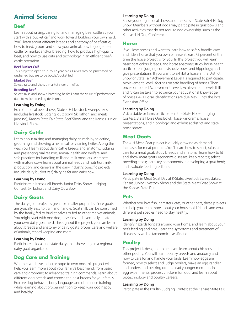# **Animal Science**

## **Beef**

Learn about raising, caring for and managing beef cattle as you start with a bucket calf and work toward building your own herd. You'll learn about different breeds and anatomy of beef cattle; how to feed, groom and show your animal; how to judge beef cattle for market and/or breeding; how to produce high-quality beef; and how to use data and technology in an efficient beefcattle operation.

#### **Beef Bucket Calf**

This project is open to 7- to 12-year-olds. Calves may be purchased or orphaned but are to be bottle/bucket fed.

#### **Market Beef**

Select, raise and show a market steer or heifer.

#### **Breeding Beef**

Select, raise and show a breeding heifer. Learn the value of performance data to make breeding decisions.

## **Learning by Doing**

Exhibit at local beef shows, State 4-H Livestock Sweepstakes, (includes livestock judging, quiz bowl, Skillathon, and meats judging), Kansas State Fair State Beef Show, and the Kansas Junior Livestock Show.

# **Dairy Cattle**

Learn about raising and managing dairy animals by selecting, grooming and showing a heifer calf or yearling heifer. Along the way, you'll learn about dairy cattle breeds and anatomy, judging and presenting oral reasons, animal health and welfare, and safe practices for handling milk and milk products. Members with mature cows learn about animal feeds and nutrition, milk production, and careers in the dairy industry. Specific projects include dairy bucket calf, dairy heifer and dairy cow.

## **Learning by Doing**

Participate in Kansas All-Breeds Junior Dairy Show, Judging Contest, Skillathon, and Dairy Quiz Bowl.

# **Dairy Goats**

The dairy goat project is great for smaller properties since goats are typically easy to train and handle. Goat milk can be consumed by the family, fed to bucket calves or fed to other market animals. You might start with one doe, raise kids and eventually create your own dairy goat herd. Throughout the project, you can learn about breeds and anatomy of dairy goats, proper care and welfare of animals, record keeping and more.

## **Learning by Doing**

Participate in local and state dairy goat shows or join a regional dairy goat organization.

# **Dog Care and Training**

Whether you have a dog or hope to own one, this project will help you learn more about your family's best friend, from basic care and grooming to advanced training commands. Learn about different dog breeds and choose the best breeds for your family. Explore dog behavior, body language, and obedience training while learning about proper nutrition to keep your dog happy and healthy.

## **Learning by Doing**

Show your dog at local shows and the Kansas State Fair 4-H Dog Show. Members without dogs may participate in quiz bowls and other activities that do not require dog ownership, such as the Kansas 4-H Dog Conference.

## **Horse**

If you love horses and want to learn how to safely handle, care and ride a horse that you own or lease at least 75 percent of the time the horse project is for you. In this project you will learn basic coat colors, breeds, and horse anatomy; study horse health; participate in judging contests, quiz bowl, and hippology; and give presentations. If you want to exhibit a horse in the District Show or State Fair, Achievement Level I is required to participate. Achievement Level I focuses on safe handling of horses. Then once completed Achievement Level I, Achievement Levels II, III, and IV can be taken to advance your educational knowledge of horses. 4-H Horse Identifications are due May 1 into the local Extension Office.

## **Learning by Doing**

Visit a stable or farm; participate in the State Horse Judging Contest, State Horse Quiz Bowl, Horse Panorama, horse presentations, and hippology; and exhibit at district and state horse shows.

## **Meat Goats**

The 4-H Meat Goat project is quickly growing as demand increases for meat products. You'll learn how to select, raise, and care for a meat goat; study breeds and anatomy; learn how to fit and show meat goats; recognize diseases; keep records; select breeding stock; learn key components in developing a goat herd; and evaluate feed ingredients.

#### **Learning by Doing**

Participate in Meat Goat Day at K-State, Livestock Sweepstakes, Kansas Junior Livestock Show and the State Meat Goat Show at the Kansas State Fair.

## **Pets**

Whether you love fish, hamsters, cats, or other pets, these projects can help you learn more about your household friends and what different pet species need to stay healthy.

#### **Learning by Doing**

Identify hazards for pets around your home, and learn about your pet's feeding and care. Learn the symptoms and treatment of diseases as well as taxonomic classification.

## **Poultry**

This project is designed to help you learn about chickens and other poultry. You will learn poultry breeds and anatomy and how to care for and handle your birds. Learn how eggs are formed, how to select and judge broilers, make an egg candler, and understand pecking orders. Lead younger members in egg experiments, process chickens for food, and learn about biotechnology and poultry careers.

#### **Learning by Doing**

Participate in the Poultry Judging Contest at the Kansas State Fair.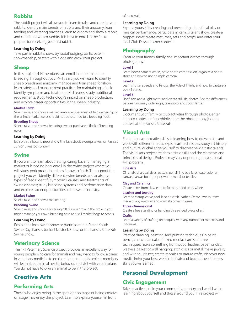## **Rabbits**

The rabbit project will allow you to learn to raise and care for your rabbits. Identify main breeds of rabbits and their anatomy, learn feeding and watering practices, learn to groom and show a rabbit, and care for newborn rabbits. It is best to enroll in the fall to prepare for receiving your first rabbit.

## **Learning by Doing**

Take part in rabbit shows, try rabbit judging, participate in showmanship, or start with a doe and grow your project.

# **Sheep**

In this project, 4-H members can enroll in either market or breeding. Throughout your 4-H years, you will learn to identify sheep breeds and anatomy, manage and train sheep for show, learn safety and management practices for maintaining a flock, identify symptoms and treatment of diseases, study nutritional requirements, study technology's impact on sheep production, and explore career opportunities in the sheep industry.

## **Market Lamb**

Select, raise, and show a market lamb; member must obtain ownership of the animal; market ewes should not be returned to a breeding flock.

## **Breeding Sheep**

Select, raise, and show a breeding ewe or purchase a flock of breeding ewes.

## **Learning by Doing**

Exhibit at a local sheep show the Livestock Sweepstakes, or Kansas Junior Livestock Show.

## **Swine**

If you want to learn about raising, caring for, and managing a market or breeding hog, enroll in the swine project where you will study pork production from farrow to finish. Throughout the project you will identify different swine breeds and anatomy; types of feeds; identify symptoms, causes, and treatments of swine diseases; study breeding systems and performance data; and explore career opportunities in the swine industry.

#### **Market Swine**

Select, raise, and show a market hog.

#### **Breeding Swine**

Select, raise, and show a breeding gilt. As you grow in the project, you might manage your own breeding herd and sell market hogs to others.

#### **Learning by Doing**

Exhibit at a local swine show or participate in K-State's Youth Swine Day; Kansas Junior Livestock Show; or the Kansas State Fair Swine Show.

# **Veterinary Science**

The 4-H Veterinary Science project provides an excellent way for young people who care for animals and may want to follow a career in veterinary medicine to explore the topic. In this project, members will learn about animal health, behavior, and visit with veterinarians. You do not have to own an animal to be in this project.

# **Creative Arts**

# **Performing Arts**

Those who enjoy being in the spotlight on stage or being creative off stage may enjoy this project. Learn to express yourself in front

of a crowd.

#### **Learning by Doing**

Express yourself by creating and presenting a theatrical play or musical performance; participate in camp's talent show, create a puppet show; create costumes, sets and props; and enter your local Club Days or other contests.

# **Photography**

Capture your friends, family and important events through photography.

#### **Level 1**

Learn how a camera works, basic photo composition, organize a photo story, and how to use a simple camera.

#### **Level 2**

Learn shutter speeds and f-stops, the Rule of Thirds, and how to capture a point in time.

#### **Level 3**

Use filters and a light meter and create still-life photos. See the differences between normal, wide angle, telephoto, and zoom lenses.

## **Learning by Doing**

Document your family or club activities through photos; enter a photo contest or fair exhibit; enter the photography judging contest at the Kansas State Fair.

# **Visual Arts**

Encourage your creative skills in learning how to draw, paint, and work with different media. Explore art techniques, study art history and culture, or challenge yourself to discover new artistic talents. The visual arts project teaches artistic skills and the elements and principles of design. Projects may vary depending on your local 4-H program.

#### **Fine Arts**

Oil, chalk, charcoal, dyes, pastels, pencil, ink, acrylic, or watercolor on canvas, canvas board, paper, wood, metal, or textiles.

#### **Clay and Ceramics**

Create items from clay, learn to form by hand or by wheel.

## **Leather and Jewelry**

Learn to stamp, carve, tool, lace or stitch leather. Create jewelry items made of any medium and a variety of techniques.

#### **Three-Dimensional**

Create a free standing or hanging three-sided piece of art.

#### **Crafts**

Learn a variety of crafting techniques, with any number of materials and mediums.

#### **Learning by Doing**

Practice drawing, painting, and printing techniques in paint, pencil, chalk, charcoal, or mixed media; learn sculpture techniques; make something from wood, leather, paper, or clay; weave a basket or wall hanging; etch glass or metal; make jewelry and wire sculptures; create mosaics or nature crafts; discover new media. Enter your best work in the fair and teach others the new skills you've learned.

# **Personal Development**

## **Civic Engagement**

Take an active role in your community, country and world while learning about yourself and those around you. This project will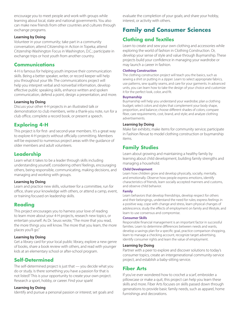encourage you to meet people and work with groups while learning about local, state and national governments. You also can make new friends from other countries and cultures through exchange programs.

#### **Learning by Doing**

Volunteer in your community; take part in a community conversation; attend Citizenship in Action in Topeka; attend Citizenship Washington Focus in Washington, D.C.; participate in exchange trips or host youth from another country.

## **Communications**

4-H is famous for helping youth improve their communication skills. Being a better speaker, writer, or record keeper will help you throughout your life. The communications project will help you interpret verbal and nonverbal information, develop effective public speaking skills, enhance written and spoken communication, defend a point, design a presentation, and more.

#### **Learning by Doing**

Discuss your other 4-H projects in an illustrated talk or demonstration to club members, write a thank-you note, run for a club office, complete a record book, or present a speech.

# **Exploring 4-H**

This project is for first- and second-year members. It's a great way to explore 4-H projects without officially committing. Members will be exposed to numerous project areas with the guidance of older members and adult volunteers.

# **Leadership**

Learn what it takes to be a leader through skills including understanding yourself, considering others' feelings, encouraging others, being responsible, communicating, making decisions, and managing and working with groups.

#### **Learning by Doing**

Learn and practice new skills, volunteer for a committee, run for office, share your knowledge with others, or attend a camp, event, or training focused on leadership skills.

## **Reading**

This project encourages you to harness your love of reading to learn more about your 4-H projects, research new topics, or entertain yourself. As Dr. Seuss wrote, "The more that you read, the more things you will know. The more that you learn, the more places you'll go."

#### **Learning by Doing**

Get a library card for your local public library, explore a new genre of books, share a book review with others, and read with younger kids at an elementary school or after-school program.

## **Self-Determined**

The self-determined project is just that — you decide what you do or study. Is there something you have a passion for that is not listed? This is your opportunity to create your own project. Research a sport, hobby, or career. Find your spark!

#### **Learning by Doing**

Identify and pursue a personal passion or interest; set goals and

evaluate the completion of your goals; and share your hobby, interest, or activity with others.

# **Family and Consumer Sciences**

# **Clothing and Textiles**

Learn to create and sew your own clothing and accessories while exploring the world of fashion in Clothing Construction. Or, develop your sense of style and value through Buymanship. These projects build your confidence in managing your wardrobe or may launch a career in fashion.

#### **Clothing Construction**

The clothing construction project will teach you the basics, such as sewing a shirt or putting in a zipper. Learn to select appropriate fabrics, use patterns, sew quality seams, and care for your garments. In advanced units, you can learn how to take the design of your choice and customize it for the perfect look, color, and fit.

#### **Buymanship**

Buymanship will help you understand your wardrobe; plan a clothing budget; select colors and styles that complement your body shape, proportion, and balance; choose different shades of colors; compare fiber, care requirements, cost, brand, and style; and analyze clothing advertisements.

## **Learning by Doing**

Make fair exhibits; make items for community service; participate in Fashion Revue to model clothing construction or buymanship items.

# **Family Studies**

Learn about growing and maintaining a healthy family by learning about child development, building family strengths and managing a household.

#### **Child Development**

Learn how children grow and develop physically, socially, mentally, and emotionally. Observe how people express emotions, identify characteristics of friends, learn socially accepted manners and customs, and observe child behavior.

#### **Family**

Learn behaviors that develop friendships, develop respect for others and their belongings, understand the need for rules; express feelings in a positive way, cope with change and stress, learn physical changes of adolescence, study the effects of employment on family and lifestyle, and learn to use consensus and compromise.

#### **Consumer Skills**

Responsible financial management is an important factor in successful families. Learn to determine differences between needs and wants, develop a savings plan for a specific goal, practice comparison shopping, learn to manage a checking account, recognize target advertising, identify consumer rights and learn the value of employment.

#### **Learning by Doing**

Partner with a peer to explore and discover solutions to today's consumer topics, create an intergenerational community-service project, and establish a baby-sitting service.

## **Fiber Arts**

If you've ever wondered how to crochet a scarf, embroider a pillowcase or make a quit, this project can help you learn these skills and more. Fiber Arts focuses on skills passed down through generations to provide basic family needs, such as apparel, home furnishings and decorations.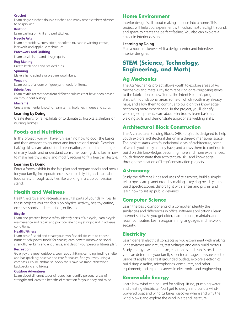#### **Crochet**

Learn single crochet, double crochet, and many other stitches; advance to hairpin lace.

#### **Knitting**

Learn casting on, knit and purl stitches.

#### **Needle Arts**

Learn embroidery, cross-stitch, needlepoint, candle wicking, crewel, lacework, and applique techniques.

#### **Patchwork and Quilting**

Learn to stitch, tie, and design quilts.

#### **Rug Making**

Create latch hook and braided rugs.

#### **Spinning**

Make a hand spindle or prepare wool fibers.

#### **Weaving**

Learn parts of a loom or figure yarn needs for items.

#### **Ethnic Arts**

Learn textile art methods from different cultures that have been passed on throughout history.

#### **Macramé**

Create ornamental knotting; learn terms, tools, techniques and cords.

#### **Learning by Doing**

Create items for fair exhibits or to donate to hospitals, shelters or nursing homes.

## **Foods and Nutrition**

In this project, you will have fun learning how to cook the basics and then advance to gourmet and international meals. Develop baking skills, learn about food preservation, explore the heritage of many foods, and understand consumer buying skills. Learn how to make healthy snacks and modify recipes to fit a healthy lifestyle.

#### **Learning by Doing**

Enter a foods exhibit in the fair, plan and prepare snacks and meals for your family, incorporate exercise into daily life, and learn about food safety through activities like working in a club concession stand.

## **Health and Wellness**

Health, exercise and recreation are vital parts of your daily lives. In these projects you can focus on physical activity, healthy eating, exercise, sports and recreation, or first aid.

#### **Bicycle**

Learn and practice bicycle safety, identify parts of a bicycle, learn bicycle maintenance and repair, and practice safe riding at night and in adverse conditions.

#### **Health/Fitness**

Learn basic first aid and create your own first aid kit; learn to choose nutrient-rich "power foods" for snacks; learn how to improve personal strength, flexibility and endurance; and design your personal fitness plan.

#### **Recreation**

Go enjoy the great outdoors. Learn about hiking, camping, finding shelter and backpacking; observe and care for nature; find your way using a compass, GPS, or landmarks. Apply the "Leave No Trace" ethic when backpacking and hiking.

#### **Outdoor Adventures**

Learn about different types of recreation identify personal areas of strength; and learn the benefits of recreation for your body and mind.

## **Home Environment**

Interior design is all about making a house into a home. This project will help you experiment with colors, textures, light, sound, and space to create the perfect feeling. You also can explore a career in interior design.

#### **Learning by Doing**

Plan a room makeover, visit a design center and interview an interior designer.

# **STEM (Science, Technology, Engineering, and Math)**

## **Ag Mechanics**

The Ag Mechanics project allows youth to explore areas of Ag mechanics and metallurgy from repairing or re-purposing items to the fabrication of new items. The intent is for this program start with foundational areas, some of which youth may already have, and allow them to continue to build on this knowledge, becoming more experienced. In the project, you'll identify welding equipment, learn about electrodes, learn basic arc welding skills, and demonstrate appropriate welding skills.

## **Architectural Block Construction**

The Architectural Building Blocks (ABC) project is designed to help youth explore architectural design in a three-dimensional space. The project starts with foundational ideas of architecture, some of which youth may already have, and allows them to continue to build on this knowledge, becoming more and more experienced. Youth demonstrate their architectural skill and knowledge through the creation of "Lego" construction projects.

## **Astronomy**

Study the different kinds and uses of telescopes, build a simple telescope, learn planet order by making a key ring bead system, build spectroscopes, distort light with lenses and prisms, and learn how to set up public viewings.

## **Computer Science**

Learn the basic components of a computer; identify the similarities and differences in office software applications; learn Internet safety. As you get older, learn to build, maintain, and repair computers. Learn programming languages and network security.

## **Electricity**

Learn general electrical concepts as you experiment with making light switches and circuits, test voltages and even build motors. Study energy use, magnetism, electronics and transistors. Later, you can determine your family's electrical usage; measure electric usage of appliances; test grounded outlets; explore electronics; build simple radios, microphones, computers, and other equipment; and explore careers in electronics and engineering.

## **Renewable Energy**

Learn how wind can be used for sailing, lifting, pumping water and creating electricity. You'll get to design and build a windpowered boat and wind turbines; discover where and why the wind blows; and explore the wind in art and literature.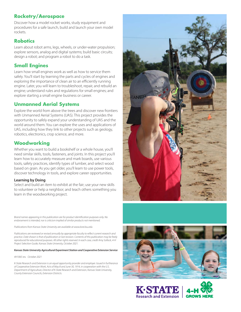## **Rocketry/Aerospace**

Discover how a model rocket works, study equipment and procedures for a safe launch, build and launch your own model rockets.

## **Robotics**

Learn about robot arms, legs, wheels, or under-water propulsion; explore sensors, analog and digital systems; build basic circuits; design a robot; and program a robot to do a task.

## **Small Engines**

Learn how small engines work as well as how to service them safely. You'll start by learning the parts and cycles of engines and exploring the importance of clean air to an efficiently running engine. Later, you will learn to troubleshoot, repair, and rebuild an engine; understand rules and regulations for small engines; and explore starting a small engine business or career.

## **Unmanned Aerial Systems**

Explore the world from above the trees and discover new frontiers with Unmanned Aerial Systems (UAS). This project provides the opportunity to safely expand your understanding of UAS and the world around them. You can explore the uses and applications of UAS, including how they link to other projects such as geology, robotics, electronics, crop science, and more.

# **Woodworking**

Whether you want to build a bookshelf or a whole house, you'll need similar skills, tools, fasteners, and joints. In this project you'll learn how to accurately measure and mark boards, use various tools, safety practices, identify types of lumber, and select wood based on grain. As you get older, you'll learn to use power tools, discover technology in tools, and explore career opportunities.

#### **Learning by Doing**

Select and build an item to exhibit at the fair; use your new skills to volunteer or help a neighbor; and teach others something you learn in the woodworking project.

*Brand names appearing in this publication are for product identification purposes only. No endorsement is intended, nor is criticism implied of similar products not mentioned.* 

*Publications from Kansas State University are available at www.ksre.ksu.edu*

*Publications are reviewed or revised annually by appropriate faculty to reflect current research and practice. Date shown is that of publication or last revision. Contents of this publication may be freely reproduced for educational purposes. All other rights reserved. In each case, credit Amy Sollock, 4-H Project Selection Guide, Kansas State University, October 2021.*

#### *Kansas State University Agricultural Experiment Station and Cooperative Extension Service*

#### *4H1065 rev. October 2021*

*K-State Research and Extension is an equal opportunity provider and employer. Issued in furtherance of Cooperative Extension Work, Acts of May 8 and June 30, 1914, in cooperation with the U.S. Department of Agriculture, Director of K-State Research and Extension, Kansas State University, County Extension Councils, Extension Districts.*